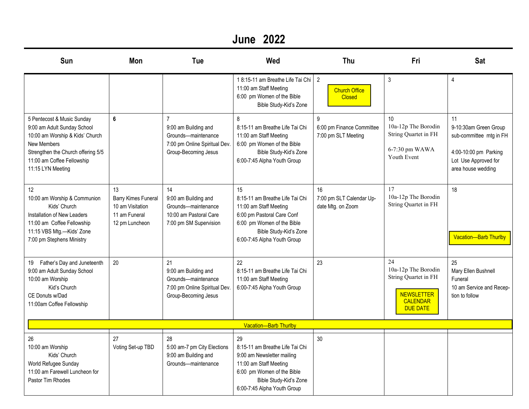### **June 2022**

| Sun                                                                                                                                                                                                         | Mon                                                                                     | Tue                                                                                                                    | Wed                                                                                                                                                                                  | Thu                                                     | Fri                                                                                                          | <b>Sat</b>                                                                                                                    |  |
|-------------------------------------------------------------------------------------------------------------------------------------------------------------------------------------------------------------|-----------------------------------------------------------------------------------------|------------------------------------------------------------------------------------------------------------------------|--------------------------------------------------------------------------------------------------------------------------------------------------------------------------------------|---------------------------------------------------------|--------------------------------------------------------------------------------------------------------------|-------------------------------------------------------------------------------------------------------------------------------|--|
|                                                                                                                                                                                                             |                                                                                         |                                                                                                                        | 18:15-11 am Breathe Life Tai Chi<br>11:00 am Staff Meeting<br>6:00 pm Women of the Bible<br>Bible Study-Kid's Zone                                                                   | $\overline{2}$<br><b>Church Office</b><br><b>Closed</b> | $\mathbf{3}$                                                                                                 | 4                                                                                                                             |  |
| 5 Pentecost & Music Sunday<br>9:00 am Adult Sunday School<br>10:00 am Worship & Kids' Church<br><b>New Members</b><br>Strengthen the Church offering 5/5<br>11:00 am Coffee Fellowship<br>11:15 LYN Meeting | 6                                                                                       | $\overline{7}$<br>9:00 am Building and<br>Grounds-maintenance<br>7:00 pm Online Spiritual Dev.<br>Group-Becoming Jesus | 8<br>8:15-11 am Breathe Life Tai Chi<br>11:00 am Staff Meeting<br>6:00 pm Women of the Bible<br>Bible Study-Kid's Zone<br>6:00-7:45 Alpha Youth Group                                | 9<br>6:00 pm Finance Committee<br>7:00 pm SLT Meeting   | 10<br>10a-12p The Borodin<br>String Quartet in FH<br>6-7:30 pm WAWA<br>Youth Event                           | 11<br>9-10:30am Green Group<br>sub-committee mtg in FH<br>4:00-10:00 pm Parking<br>Lot Use Approved for<br>area house wedding |  |
| 12<br>10:00 am Worship & Communion<br>Kids' Church<br>Installation of New Leaders<br>11:00 am Coffee Fellowship<br>11:15 VBS Mtg.-Kids' Zone<br>7:00 pm Stephens Ministry                                   | 13<br><b>Barry Kimes Funeral</b><br>10 am Visitation<br>11 am Funeral<br>12 pm Luncheon | 14<br>9:00 am Building and<br>Grounds-maintenance<br>10:00 am Pastoral Care<br>7:00 pm SM Supervision                  | 15<br>8:15-11 am Breathe Life Tai Chi<br>11:00 am Staff Meeting<br>6:00 pm Pastoral Care Conf<br>6:00 pm Women of the Bible<br>Bible Study-Kid's Zone<br>6:00-7:45 Alpha Youth Group | 16<br>7:00 pm SLT Calendar Up-<br>date Mtg. on Zoom     | 17<br>10a-12p The Borodin<br>String Quartet in FH                                                            | 18<br><b>Vacation-Barb Thurlby</b>                                                                                            |  |
| 19 Father's Day and Juneteenth<br>9:00 am Adult Sunday School<br>10:00 am Worship<br>Kid's Church<br>CE Donuts w/Dad<br>11:00am Coffee Fellowship                                                           | 20                                                                                      | 21<br>9:00 am Building and<br>Grounds-maintenance<br>7:00 pm Online Spiritual Dev.<br>Group-Becoming Jesus             | 22<br>8:15-11 am Breathe Life Tai Chi<br>11:00 am Staff Meeting<br>6:00-7:45 Alpha Youth Group                                                                                       | 23                                                      | 24<br>10a-12p The Borodin<br>String Quartet in FH<br><b>NEWSLETTER</b><br><b>CALENDAR</b><br><b>DUE DATE</b> | 25<br>Mary Ellen Bushnell<br>Funeral<br>10 am Service and Recep-<br>tion to follow                                            |  |
| <b>Vacation-Barb Thurlby</b>                                                                                                                                                                                |                                                                                         |                                                                                                                        |                                                                                                                                                                                      |                                                         |                                                                                                              |                                                                                                                               |  |
| 26<br>10:00 am Worship<br>Kids' Church<br>World Refugee Sunday<br>11:00 am Farewell Luncheon for<br>Pastor Tim Rhodes                                                                                       | 27<br>Voting Set-up TBD                                                                 | 28<br>5:00 am-7 pm City Elections<br>9:00 am Building and<br>Grounds-maintenance                                       | 29<br>8:15-11 am Breathe Life Tai Chi<br>9:00 am Newsletter mailing<br>11:00 am Staff Meeting<br>6:00 pm Women of the Bible<br>Bible Study-Kid's Zone<br>6:00-7:45 Alpha Youth Group | 30                                                      |                                                                                                              |                                                                                                                               |  |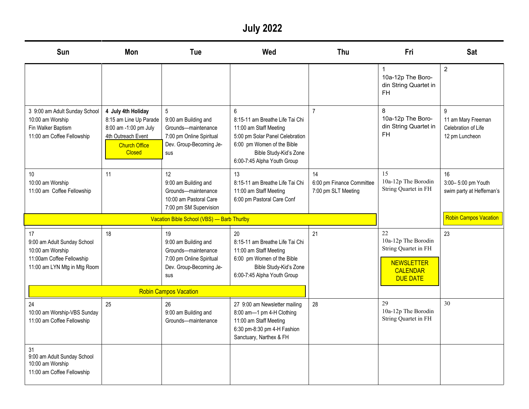**July 2022**

| Sun                                                                                                                | <b>Mon</b>                                                                                                                           | Tue                                                                                                             | Wed                                                                                                                                                                                      | Thu                                                    | Fri                                                                                                          | <b>Sat</b>                                                                  |
|--------------------------------------------------------------------------------------------------------------------|--------------------------------------------------------------------------------------------------------------------------------------|-----------------------------------------------------------------------------------------------------------------|------------------------------------------------------------------------------------------------------------------------------------------------------------------------------------------|--------------------------------------------------------|--------------------------------------------------------------------------------------------------------------|-----------------------------------------------------------------------------|
|                                                                                                                    |                                                                                                                                      |                                                                                                                 |                                                                                                                                                                                          |                                                        | $\mathbf{1}$<br>10a-12p The Boro-<br>din String Quartet in<br><b>FH</b>                                      | $\overline{2}$                                                              |
| 3 9:00 am Adult Sunday School<br>10:00 am Worship<br>Fin Walker Baptism<br>11:00 am Coffee Fellowship              | 4 July 4th Holiday<br>8:15 am Line Up Parade<br>8:00 am -1:00 pm July<br>4th Outreach Event<br><b>Church Office</b><br><b>Closed</b> | 5<br>9:00 am Building and<br>Grounds-maintenance<br>7:00 pm Online Spiritual<br>Dev. Group-Becoming Je-<br>sus  | 6<br>8:15-11 am Breathe Life Tai Chi<br>11:00 am Staff Meeting<br>5:00 pm Solar Panel Celebration<br>6:00 pm Women of the Bible<br>Bible Study-Kid's Zone<br>6:00-7:45 Alpha Youth Group | $\overline{7}$                                         | 8<br>10a-12p The Boro-<br>din String Quartet in<br><b>FH</b>                                                 | $\mathsf{Q}$<br>11 am Mary Freeman<br>Celebration of Life<br>12 pm Luncheon |
| 10<br>10:00 am Worship<br>11:00 am Coffee Fellowship                                                               | 11                                                                                                                                   | 12<br>9:00 am Building and<br>Grounds-maintenance<br>10:00 am Pastoral Care<br>7:00 pm SM Supervision           | 13<br>8:15-11 am Breathe Life Tai Chi<br>11:00 am Staff Meeting<br>6:00 pm Pastoral Care Conf                                                                                            | 14<br>6:00 pm Finance Committee<br>7:00 pm SLT Meeting | 15<br>10a-12p The Borodin<br>String Quartet in FH                                                            | 16<br>3:00-5:00 pm Youth<br>swim party at Heffernan's                       |
|                                                                                                                    |                                                                                                                                      | Vacation Bible School (VBS) - Barb Thurlby                                                                      |                                                                                                                                                                                          |                                                        |                                                                                                              | <b>Robin Campos Vacation</b>                                                |
| 17<br>9:00 am Adult Sunday School<br>10:00 am Worship<br>11:00am Coffee Fellowship<br>11:00 am LYN Mtg in Mtg Room | 18                                                                                                                                   | 19<br>9:00 am Building and<br>Grounds-maintenance<br>7:00 pm Online Spiritual<br>Dev. Group-Becoming Je-<br>sus | 20<br>8:15-11 am Breathe Life Tai Chi<br>11:00 am Staff Meeting<br>6:00 pm Women of the Bible<br>Bible Study-Kid's Zone<br>6:00-7:45 Alpha Youth Group                                   | 21                                                     | 22<br>10a-12p The Borodin<br>String Quartet in FH<br><b>NEWSLETTER</b><br><b>CALENDAR</b><br><b>DUE DATE</b> | 23                                                                          |
|                                                                                                                    |                                                                                                                                      | <b>Robin Campos Vacation</b>                                                                                    |                                                                                                                                                                                          |                                                        |                                                                                                              |                                                                             |
| 24<br>10:00 am Worship-VBS Sunday<br>11:00 am Coffee Fellowship                                                    | 25                                                                                                                                   | 26<br>9:00 am Building and<br>Grounds-maintenance                                                               | 27 9:00 am Newsletter mailing<br>8:00 am-1 pm 4-H Clothing<br>11:00 am Staff Meeting<br>6:30 pm-8:30 pm 4-H Fashion<br>Sanctuary, Narthex & FH                                           | 28                                                     | 29<br>10a-12p The Borodin<br>String Quartet in FH                                                            | 30                                                                          |
| 31<br>9:00 am Adult Sunday School<br>10:00 am Worship<br>11:00 am Coffee Fellowship                                |                                                                                                                                      |                                                                                                                 |                                                                                                                                                                                          |                                                        |                                                                                                              |                                                                             |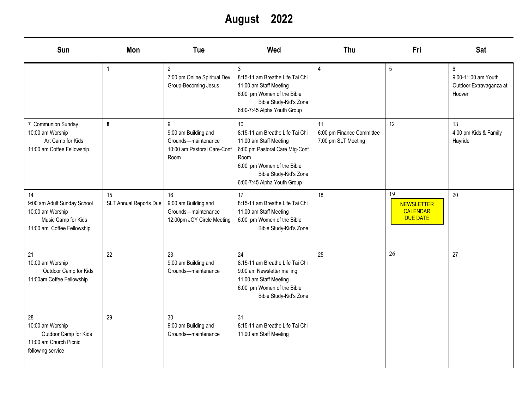**August 2022**

| <b>Sun</b>                                                                                                 | Mon                          | Tue                                                                                     | Wed                                                                                                                                                                                              | <b>Thu</b>                                             | Fri                                                           | Sat                                                           |
|------------------------------------------------------------------------------------------------------------|------------------------------|-----------------------------------------------------------------------------------------|--------------------------------------------------------------------------------------------------------------------------------------------------------------------------------------------------|--------------------------------------------------------|---------------------------------------------------------------|---------------------------------------------------------------|
|                                                                                                            | $\mathbf{1}$                 | $\overline{2}$<br>7:00 pm Online Spiritual Dev.<br>Group-Becoming Jesus                 | 3<br>8:15-11 am Breathe Life Tai Chi<br>11:00 am Staff Meeting<br>6:00 pm Women of the Bible<br>Bible Study-Kid's Zone<br>6:00-7:45 Alpha Youth Group                                            | 4                                                      | 5                                                             | 6<br>9:00-11:00 am Youth<br>Outdoor Extravaganza at<br>Hoover |
| 7 Communion Sunday<br>10:00 am Worship<br>Art Camp for Kids<br>11:00 am Coffee Fellowship                  | 8                            | 9<br>9:00 am Building and<br>Grounds-maintenance<br>10:00 am Pastoral Care-Conf<br>Room | 10<br>8:15-11 am Breathe Life Tai Chi<br>11:00 am Staff Meeting<br>6:00 pm Pastoral Care Mtg-Conf<br>Room<br>6:00 pm Women of the Bible<br>Bible Study-Kid's Zone<br>6:00-7:45 Alpha Youth Group | 11<br>6:00 pm Finance Committee<br>7:00 pm SLT Meeting | 12                                                            | 13<br>4:00 pm Kids & Family<br>Hayride                        |
| 14<br>9:00 am Adult Sunday School<br>10:00 am Worship<br>Music Camp for Kids<br>11:00 am Coffee Fellowship | 15<br>SLT Annual Reports Due | 16<br>9:00 am Building and<br>Grounds-maintenance<br>12:00pm JOY Circle Meeting         | 17<br>8:15-11 am Breathe Life Tai Chi<br>11:00 am Staff Meeting<br>6:00 pm Women of the Bible<br>Bible Study-Kid's Zone                                                                          | 18                                                     | 19<br><b>NEWSLETTER</b><br><b>CALENDAR</b><br><b>DUE DATE</b> | 20                                                            |
| 21<br>10:00 am Worship<br>Outdoor Camp for Kids<br>11:00am Coffee Fellowship                               | 22                           | 23<br>9:00 am Building and<br>Grounds-maintenance                                       | 24<br>8:15-11 am Breathe Life Tai Chi<br>9:00 am Newsletter mailing<br>11:00 am Staff Meeting<br>6:00 pm Women of the Bible<br>Bible Study-Kid's Zone                                            | 25                                                     | 26                                                            | 27                                                            |
| 28<br>10:00 am Worship<br>Outdoor Camp for Kids<br>11:00 am Church Picnic<br>following service             | 29                           | 30<br>9:00 am Building and<br>Grounds-maintenance                                       | 31<br>8:15-11 am Breathe Life Tai Chi<br>11:00 am Staff Meeting                                                                                                                                  |                                                        |                                                               |                                                               |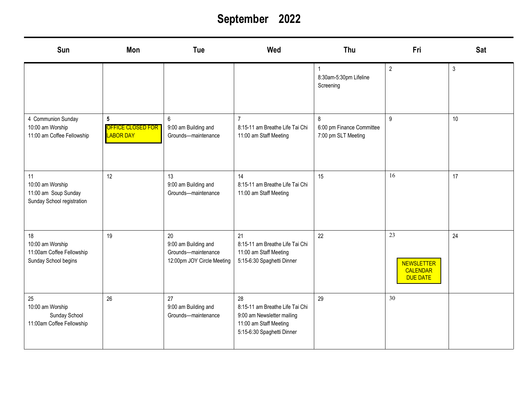# **September 2022**

| Sun                                                                          | Mon                                                             | Tue                                                                             | Wed                                                                                                                         | Thu                                                   | Fri                                                    | <b>Sat</b> |
|------------------------------------------------------------------------------|-----------------------------------------------------------------|---------------------------------------------------------------------------------|-----------------------------------------------------------------------------------------------------------------------------|-------------------------------------------------------|--------------------------------------------------------|------------|
|                                                                              |                                                                 |                                                                                 |                                                                                                                             | 8:30am-5:30pm Lifeline<br>Screening                   | $\overline{2}$                                         | $\sqrt{3}$ |
| 4 Communion Sunday<br>10:00 am Worship<br>11:00 am Coffee Fellowship         | $5\phantom{.0}$<br><b>OFFICE CLOSED FOR</b><br><b>LABOR DAY</b> | $6\phantom{a}$<br>9:00 am Building and<br>Grounds-maintenance                   | $\overline{7}$<br>8:15-11 am Breathe Life Tai Chi<br>11:00 am Staff Meeting                                                 | 8<br>6:00 pm Finance Committee<br>7:00 pm SLT Meeting | $\overline{9}$                                         | 10         |
| 11<br>10:00 am Worship<br>11:00 am Soup Sunday<br>Sunday School registration | 12                                                              | 13<br>9:00 am Building and<br>Grounds-maintenance                               | 14<br>8:15-11 am Breathe Life Tai Chi<br>11:00 am Staff Meeting                                                             | 15                                                    | 16                                                     | 17         |
| 18<br>10:00 am Worship<br>11:00am Coffee Fellowship<br>Sunday School begins  | 19                                                              | 20<br>9:00 am Building and<br>Grounds-maintenance<br>12:00pm JOY Circle Meeting | 21<br>8:15-11 am Breathe Life Tai Chi<br>11:00 am Staff Meeting<br>5:15-6:30 Spaghetti Dinner                               | 22                                                    | 23<br><b>NEWSLETTER</b><br>CALENDAR<br><b>DUE DATE</b> | 24         |
| 25<br>10:00 am Worship<br>Sunday School<br>11:00am Coffee Fellowship         | 26                                                              | 27<br>9:00 am Building and<br>Grounds-maintenance                               | 28<br>8:15-11 am Breathe Life Tai Chi<br>9:00 am Newsletter mailing<br>11:00 am Staff Meeting<br>5:15-6:30 Spaghetti Dinner | 29                                                    | 30                                                     |            |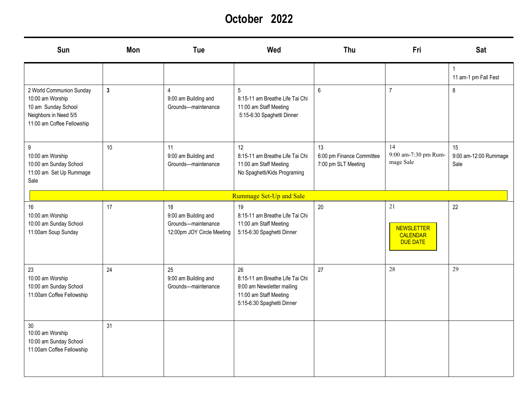## **October 2022**

| Sun                                                                                                                        | Mon            | Tue                                                                             | Wed                                                                                                                         | Thu                                                    | Fri                                                    | <b>Sat</b>                          |
|----------------------------------------------------------------------------------------------------------------------------|----------------|---------------------------------------------------------------------------------|-----------------------------------------------------------------------------------------------------------------------------|--------------------------------------------------------|--------------------------------------------------------|-------------------------------------|
|                                                                                                                            |                |                                                                                 |                                                                                                                             |                                                        |                                                        | 11 am-1 pm Fall Fest                |
| 2 World Communion Sunday<br>10:00 am Worship<br>10 am Sunday School<br>Neighbors in Need 5/5<br>11:00 am Coffee Fellowship | 3 <sup>1</sup> | $\overline{4}$<br>9:00 am Building and<br>Grounds-maintenance                   | $5\overline{)}$<br>8:15-11 am Breathe Life Tai Chi<br>11:00 am Staff Meeting<br>5:15-6:30 Spaghetti Dinner                  | 6                                                      | $\overline{7}$                                         | 8                                   |
| 9<br>10:00 am Worship<br>10:00 am Sunday School<br>11:00 am Set Up Rummage<br>Sale                                         | 10             | 11<br>9:00 am Building and<br>Grounds-maintenance                               | 12<br>8:15-11 am Breathe Life Tai Chi<br>11:00 am Staff Meeting<br>No Spaghetti/Kids Programing                             | 13<br>6:00 pm Finance Committee<br>7:00 pm SLT Meeting | 14<br>9:00 am-7:30 pm Rum-<br>mage Sale                | 15<br>9:00 am-12:00 Rummage<br>Sale |
|                                                                                                                            |                |                                                                                 | Rummage Set-Up and Sale                                                                                                     |                                                        |                                                        |                                     |
| 16<br>10:00 am Worship<br>10:00 am Sunday School<br>11:00am Soup Sunday                                                    | 17             | 18<br>9:00 am Building and<br>Grounds-maintenance<br>12:00pm JOY Circle Meeting | 19<br>8:15-11 am Breathe Life Tai Chi<br>11:00 am Staff Meeting<br>5:15-6:30 Spaghetti Dinner                               | 20                                                     | 21<br><b>NEWSLETTER</b><br>CALENDAR<br><b>DUE DATE</b> | 22                                  |
| 23<br>10:00 am Worship<br>10:00 am Sunday School<br>11:00am Coffee Fellowship                                              | 24             | 25<br>9:00 am Building and<br>Grounds-maintenance                               | 26<br>8:15-11 am Breathe Life Tai Chi<br>9:00 am Newsletter mailing<br>11:00 am Staff Meeting<br>5:15-6:30 Spaghetti Dinner | 27                                                     | 28                                                     | 29                                  |
| 30<br>10:00 am Worship<br>10:00 am Sunday School<br>11:00am Coffee Fellowship                                              | 31             |                                                                                 |                                                                                                                             |                                                        |                                                        |                                     |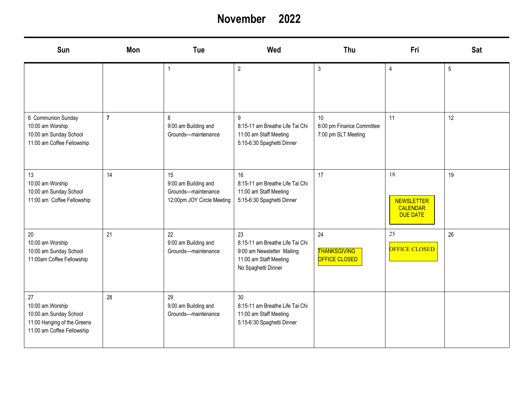#### **November 2022**

| Sun                                                                                                           | Mon            | Tue                                                                             | Wed                                                                                                                  | Thu                                                    | Fri                                                           | Sat |
|---------------------------------------------------------------------------------------------------------------|----------------|---------------------------------------------------------------------------------|----------------------------------------------------------------------------------------------------------------------|--------------------------------------------------------|---------------------------------------------------------------|-----|
|                                                                                                               |                | $\overline{1}$                                                                  | $\overline{2}$                                                                                                       | 3                                                      | $\overline{4}$                                                | 5   |
| 6 Communion Sunday<br>10:00 am Worship<br>10:00 am Sunday School<br>11:00 am Coffee Fellowship                | $\overline{7}$ | 8<br>9:00 am Building and<br>Grounds-maintenance                                | $\boldsymbol{9}$<br>8:15-11 am Breathe Life Tai Chi<br>11:00 am Staff Meeting<br>5:15-6:30 Spaghetti Dinner          | 10<br>6:00 pm Finance Committee<br>7:00 pm SLT Meeting | 11                                                            | 12  |
| 13<br>10:00 am Worship<br>10:00 am Sunday School<br>11:00 am Coffee Fellowship                                | 14             | 15<br>9:00 am Building and<br>Grounds-maintenance<br>12:00pm JOY Circle Meeting | 16<br>8:15-11 am Breathe Life Tai Chi<br>11:00 am Staff Meeting<br>5:15-6:30 Spaghetti Dinner                        | 17                                                     | 18<br><b>NEWSLETTER</b><br><b>CALENDAR</b><br><b>DUE DATE</b> | 19  |
| 20<br>10:00 am Worship<br>10:00 am Sunday School<br>11:00am Coffee Fellowship                                 | 21             | 22<br>9:00 am Building and<br>Grounds-maintenance                               | 23<br>8:15-11 am Breathe Life Tai Chi<br>9:00 am Newsletter Mailing<br>11:00 am Staff Meeting<br>No Spaghetti Dinner | 24<br><b>THANKSGIVING</b><br><b>OFFICE CLOSED</b>      | 25<br>OFFICE CLOSED                                           | 26  |
| 27<br>10:00 am Worship<br>10:00 am Sunday School<br>11:00 Hanging of the Greens<br>11:00 am Coffee Fellowship | 28             | 29<br>9:00 am Building and<br>Grounds-maintenance                               | 30<br>8:15-11 am Breathe Life Tai Chi<br>11:00 am Staff Meeting<br>5:15-6:30 Spaghetti Dinner                        |                                                        |                                                               |     |